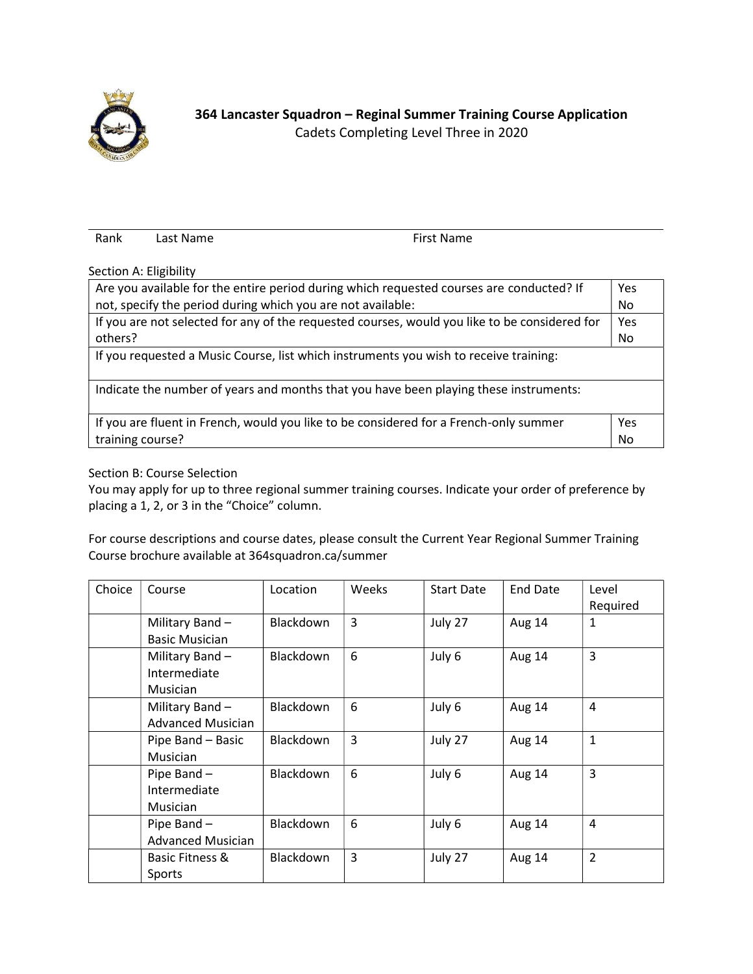

Rank Last Name **First Name** 

Section A: Eligibility

| Are you available for the entire period during which requested courses are conducted? If      | Yes |  |  |  |  |  |
|-----------------------------------------------------------------------------------------------|-----|--|--|--|--|--|
| not, specify the period during which you are not available:                                   | No. |  |  |  |  |  |
| If you are not selected for any of the requested courses, would you like to be considered for | Yes |  |  |  |  |  |
| others?                                                                                       | No. |  |  |  |  |  |
| If you requested a Music Course, list which instruments you wish to receive training:         |     |  |  |  |  |  |
| Indicate the number of years and months that you have been playing these instruments:         |     |  |  |  |  |  |
| If you are fluent in French, would you like to be considered for a French-only summer         | Yes |  |  |  |  |  |
| training course?                                                                              | No  |  |  |  |  |  |

## Section B: Course Selection

You may apply for up to three regional summer training courses. Indicate your order of preference by placing a 1, 2, or 3 in the "Choice" column.

For course descriptions and course dates, please consult the Current Year Regional Summer Training Course brochure available at 364squadron.ca/summer

| Choice | Course                   | Location         | Weeks          | <b>Start Date</b> | <b>End Date</b> | Level          |
|--------|--------------------------|------------------|----------------|-------------------|-----------------|----------------|
|        |                          |                  |                |                   |                 | Required       |
|        | Military Band -          | Blackdown        | $\overline{3}$ | July 27           | Aug 14          | 1              |
|        | <b>Basic Musician</b>    |                  |                |                   |                 |                |
|        | Military Band -          | Blackdown        | 6              | July 6            | Aug 14          | 3              |
|        | Intermediate             |                  |                |                   |                 |                |
|        | <b>Musician</b>          |                  |                |                   |                 |                |
|        | Military Band $-$        | Blackdown        | 6              | July 6            | Aug 14          | 4              |
|        | <b>Advanced Musician</b> |                  |                |                   |                 |                |
|        | Pipe Band - Basic        | Blackdown        | 3              | July 27           | Aug 14          | $\mathbf{1}$   |
|        | <b>Musician</b>          |                  |                |                   |                 |                |
|        | Pipe Band -              | <b>Blackdown</b> | 6              | July 6            | Aug 14          | 3              |
|        | Intermediate             |                  |                |                   |                 |                |
|        | <b>Musician</b>          |                  |                |                   |                 |                |
|        | Pipe Band -              | Blackdown        | 6              | July 6            | Aug 14          | $\overline{4}$ |
|        | <b>Advanced Musician</b> |                  |                |                   |                 |                |
|        | Basic Fitness &          | <b>Blackdown</b> | 3              | July 27           | Aug 14          | $\overline{2}$ |
|        | Sports                   |                  |                |                   |                 |                |